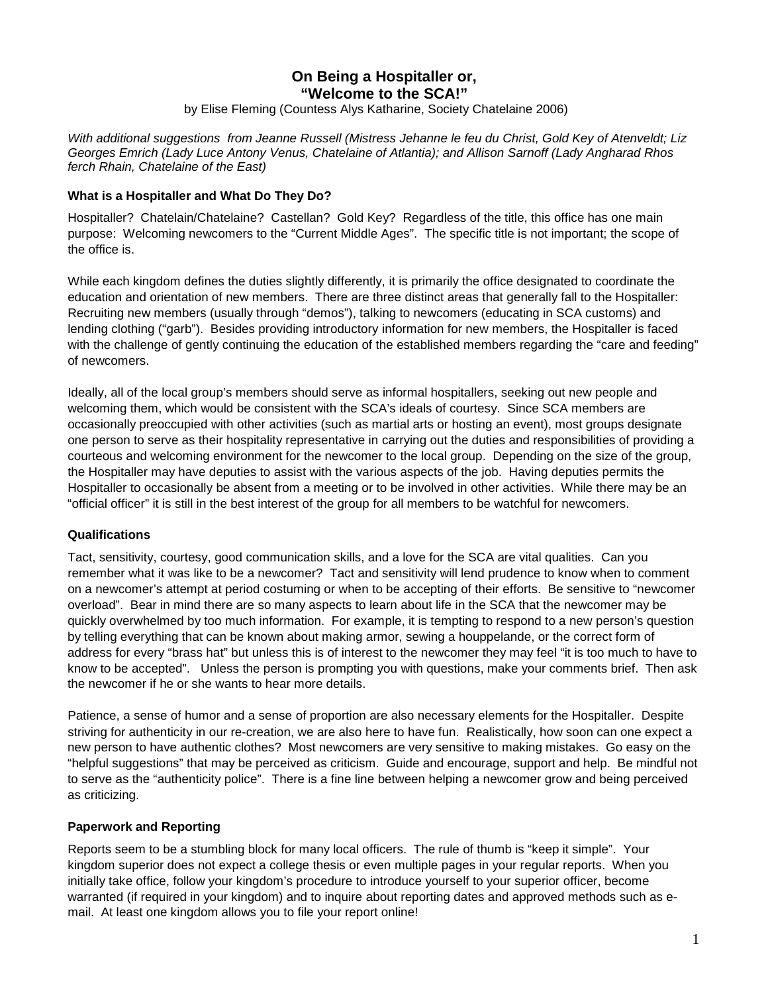# **On Being a Hospitaller or, "Welcome to the SCA!"**

by Elise Fleming (Countess Alys Katharine, Society Chatelaine 2006)

*With additional suggestions from Jeanne Russell (Mistress Jehanne le feu du Christ, Gold Key of Atenveldt; Liz Georges Emrich (Lady Luce Antony Venus, Chatelaine of Atlantia); and Allison Sarnoff (Lady Angharad Rhos ferch Rhain, Chatelaine of the East)*

# **What is a Hospitaller and What Do They Do?**

Hospitaller? Chatelain/Chatelaine? Castellan? Gold Key? Regardless of the title, this office has one main purpose: Welcoming newcomers to the "Current Middle Ages". The specific title is not important; the scope of the office is.

While each kingdom defines the duties slightly differently, it is primarily the office designated to coordinate the education and orientation of new members. There are three distinct areas that generally fall to the Hospitaller: Recruiting new members (usually through "demos"), talking to newcomers (educating in SCA customs) and lending clothing ("garb"). Besides providing introductory information for new members, the Hospitaller is faced with the challenge of gently continuing the education of the established members regarding the "care and feeding" of newcomers.

Ideally, all of the local group's members should serve as informal hospitallers, seeking out new people and welcoming them, which would be consistent with the SCA's ideals of courtesy. Since SCA members are occasionally preoccupied with other activities (such as martial arts or hosting an event), most groups designate one person to serve as their hospitality representative in carrying out the duties and responsibilities of providing a courteous and welcoming environment for the newcomer to the local group. Depending on the size of the group, the Hospitaller may have deputies to assist with the various aspects of the job. Having deputies permits the Hospitaller to occasionally be absent from a meeting or to be involved in other activities. While there may be an "official officer" it is still in the best interest of the group for all members to be watchful for newcomers.

### **Qualifications**

Tact, sensitivity, courtesy, good communication skills, and a love for the SCA are vital qualities. Can you remember what it was like to be a newcomer? Tact and sensitivity will lend prudence to know when to comment on a newcomer's attempt at period costuming or when to be accepting of their efforts. Be sensitive to "newcomer overload". Bear in mind there are so many aspects to learn about life in the SCA that the newcomer may be quickly overwhelmed by too much information. For example, it is tempting to respond to a new person's question by telling everything that can be known about making armor, sewing a houppelande, or the correct form of address for every "brass hat" but unless this is of interest to the newcomer they may feel "it is too much to have to know to be accepted". Unless the person is prompting you with questions, make your comments brief. Then ask the newcomer if he or she wants to hear more details.

Patience, a sense of humor and a sense of proportion are also necessary elements for the Hospitaller. Despite striving for authenticity in our re-creation, we are also here to have fun. Realistically, how soon can one expect a new person to have authentic clothes? Most newcomers are very sensitive to making mistakes. Go easy on the "helpful suggestions" that may be perceived as criticism. Guide and encourage, support and help. Be mindful not to serve as the "authenticity police". There is a fine line between helping a newcomer grow and being perceived as criticizing.

### **Paperwork and Reporting**

Reports seem to be a stumbling block for many local officers. The rule of thumb is "keep it simple". Your kingdom superior does not expect a college thesis or even multiple pages in your regular reports. When you initially take office, follow your kingdom's procedure to introduce yourself to your superior officer, become warranted (if required in your kingdom) and to inquire about reporting dates and approved methods such as email. At least one kingdom allows you to file your report online!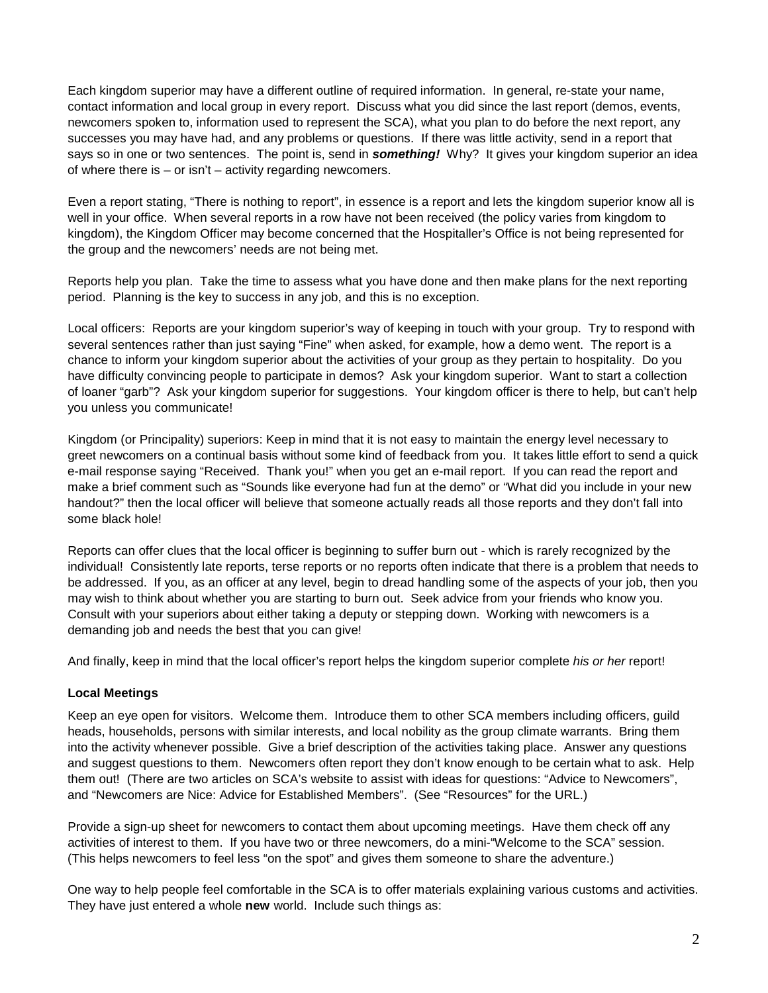Each kingdom superior may have a different outline of required information. In general, re-state your name, contact information and local group in every report. Discuss what you did since the last report (demos, events, newcomers spoken to, information used to represent the SCA), what you plan to do before the next report, any successes you may have had, and any problems or questions. If there was little activity, send in a report that says so in one or two sentences. The point is, send in *something!* Why? It gives your kingdom superior an idea of where there is – or isn't – activity regarding newcomers.

Even a report stating, "There is nothing to report", in essence is a report and lets the kingdom superior know all is well in your office. When several reports in a row have not been received (the policy varies from kingdom to kingdom), the Kingdom Officer may become concerned that the Hospitaller's Office is not being represented for the group and the newcomers' needs are not being met.

Reports help you plan. Take the time to assess what you have done and then make plans for the next reporting period. Planning is the key to success in any job, and this is no exception.

Local officers: Reports are your kingdom superior's way of keeping in touch with your group. Try to respond with several sentences rather than just saying "Fine" when asked, for example, how a demo went. The report is a chance to inform your kingdom superior about the activities of your group as they pertain to hospitality. Do you have difficulty convincing people to participate in demos? Ask your kingdom superior. Want to start a collection of loaner "garb"? Ask your kingdom superior for suggestions. Your kingdom officer is there to help, but can't help you unless you communicate!

Kingdom (or Principality) superiors: Keep in mind that it is not easy to maintain the energy level necessary to greet newcomers on a continual basis without some kind of feedback from you. It takes little effort to send a quick e-mail response saying "Received. Thank you!" when you get an e-mail report. If you can read the report and make a brief comment such as "Sounds like everyone had fun at the demo" or "What did you include in your new handout?" then the local officer will believe that someone actually reads all those reports and they don't fall into some black hole!

Reports can offer clues that the local officer is beginning to suffer burn out - which is rarely recognized by the individual! Consistently late reports, terse reports or no reports often indicate that there is a problem that needs to be addressed. If you, as an officer at any level, begin to dread handling some of the aspects of your job, then you may wish to think about whether you are starting to burn out. Seek advice from your friends who know you. Consult with your superiors about either taking a deputy or stepping down. Working with newcomers is a demanding job and needs the best that you can give!

And finally, keep in mind that the local officer's report helps the kingdom superior complete *his or her* report!

# **Local Meetings**

Keep an eye open for visitors. Welcome them. Introduce them to other SCA members including officers, guild heads, households, persons with similar interests, and local nobility as the group climate warrants. Bring them into the activity whenever possible. Give a brief description of the activities taking place. Answer any questions and suggest questions to them. Newcomers often report they don't know enough to be certain what to ask. Help them out! (There are two articles on SCA's website to assist with ideas for questions: "Advice to Newcomers", and "Newcomers are Nice: Advice for Established Members". (See "Resources" for the URL.)

Provide a sign-up sheet for newcomers to contact them about upcoming meetings. Have them check off any activities of interest to them. If you have two or three newcomers, do a mini-"Welcome to the SCA" session. (This helps newcomers to feel less "on the spot" and gives them someone to share the adventure.)

One way to help people feel comfortable in the SCA is to offer materials explaining various customs and activities. They have just entered a whole **new** world. Include such things as: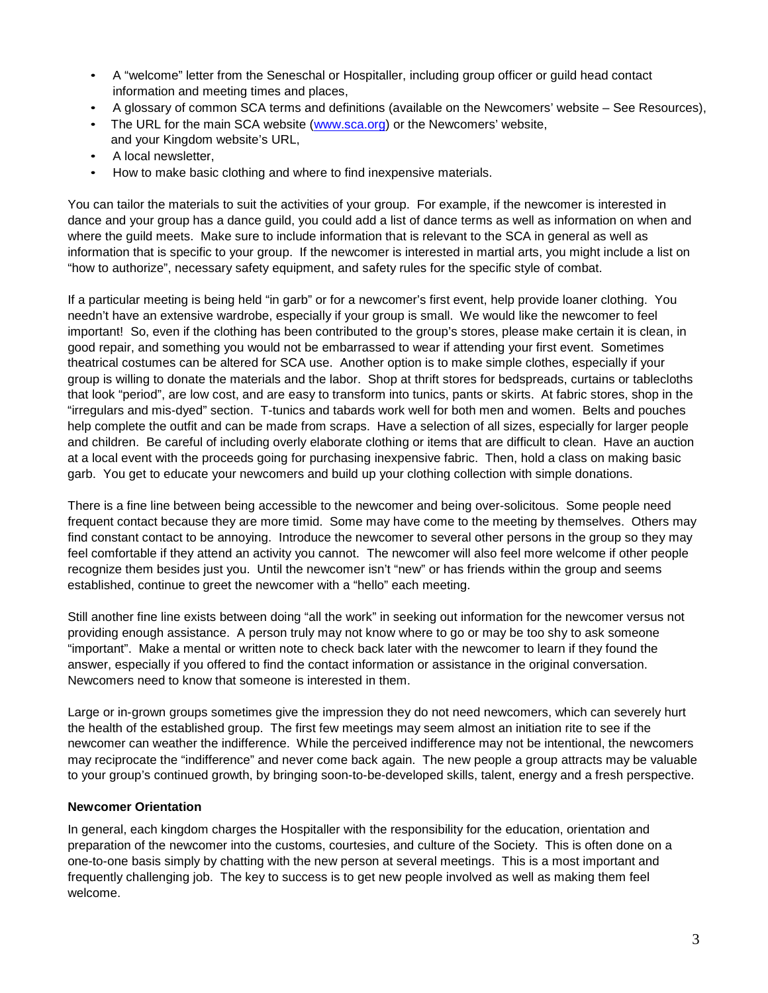- A "welcome" letter from the Seneschal or Hospitaller, including group officer or guild head contact information and meeting times and places,
- A glossary of common SCA terms and definitions (available on the Newcomers' website See Resources),
- The URL for the main SCA website [\(www.sca.org\)](http://www.sca.org/) or the Newcomers' website,
- and your Kingdom website's URL, • A local newsletter,
- How to make basic clothing and where to find inexpensive materials.

You can tailor the materials to suit the activities of your group. For example, if the newcomer is interested in dance and your group has a dance guild, you could add a list of dance terms as well as information on when and where the guild meets. Make sure to include information that is relevant to the SCA in general as well as information that is specific to your group. If the newcomer is interested in martial arts, you might include a list on "how to authorize", necessary safety equipment, and safety rules for the specific style of combat.

If a particular meeting is being held "in garb" or for a newcomer's first event, help provide loaner clothing. You needn't have an extensive wardrobe, especially if your group is small. We would like the newcomer to feel important! So, even if the clothing has been contributed to the group's stores, please make certain it is clean, in good repair, and something you would not be embarrassed to wear if attending your first event. Sometimes theatrical costumes can be altered for SCA use. Another option is to make simple clothes, especially if your group is willing to donate the materials and the labor. Shop at thrift stores for bedspreads, curtains or tablecloths that look "period", are low cost, and are easy to transform into tunics, pants or skirts. At fabric stores, shop in the "irregulars and mis-dyed" section. T-tunics and tabards work well for both men and women. Belts and pouches help complete the outfit and can be made from scraps. Have a selection of all sizes, especially for larger people and children. Be careful of including overly elaborate clothing or items that are difficult to clean. Have an auction at a local event with the proceeds going for purchasing inexpensive fabric. Then, hold a class on making basic garb. You get to educate your newcomers and build up your clothing collection with simple donations.

There is a fine line between being accessible to the newcomer and being over-solicitous. Some people need frequent contact because they are more timid. Some may have come to the meeting by themselves. Others may find constant contact to be annoying. Introduce the newcomer to several other persons in the group so they may feel comfortable if they attend an activity you cannot. The newcomer will also feel more welcome if other people recognize them besides just you. Until the newcomer isn't "new" or has friends within the group and seems established, continue to greet the newcomer with a "hello" each meeting.

Still another fine line exists between doing "all the work" in seeking out information for the newcomer versus not providing enough assistance. A person truly may not know where to go or may be too shy to ask someone "important". Make a mental or written note to check back later with the newcomer to learn if they found the answer, especially if you offered to find the contact information or assistance in the original conversation. Newcomers need to know that someone is interested in them.

Large or in-grown groups sometimes give the impression they do not need newcomers, which can severely hurt the health of the established group. The first few meetings may seem almost an initiation rite to see if the newcomer can weather the indifference. While the perceived indifference may not be intentional, the newcomers may reciprocate the "indifference" and never come back again. The new people a group attracts may be valuable to your group's continued growth, by bringing soon-to-be-developed skills, talent, energy and a fresh perspective.

# **Newcomer Orientation**

In general, each kingdom charges the Hospitaller with the responsibility for the education, orientation and preparation of the newcomer into the customs, courtesies, and culture of the Society. This is often done on a one-to-one basis simply by chatting with the new person at several meetings. This is a most important and frequently challenging job. The key to success is to get new people involved as well as making them feel welcome.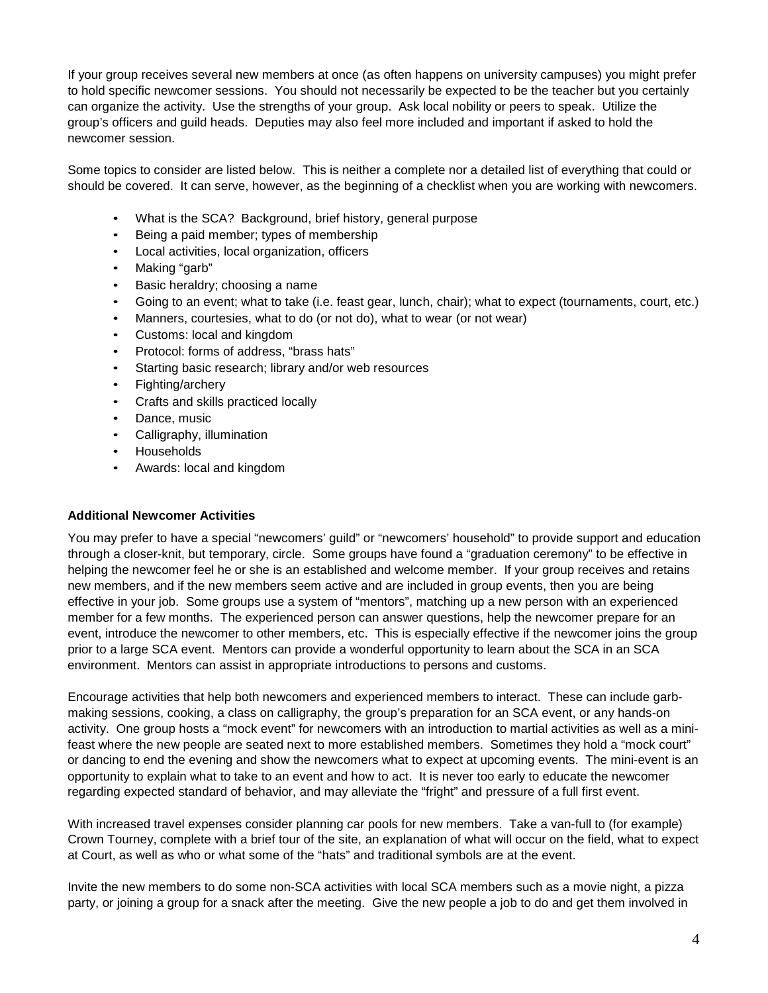If your group receives several new members at once (as often happens on university campuses) you might prefer to hold specific newcomer sessions. You should not necessarily be expected to be the teacher but you certainly can organize the activity. Use the strengths of your group. Ask local nobility or peers to speak. Utilize the group's officers and guild heads. Deputies may also feel more included and important if asked to hold the newcomer session.

Some topics to consider are listed below. This is neither a complete nor a detailed list of everything that could or should be covered. It can serve, however, as the beginning of a checklist when you are working with newcomers.

- What is the SCA? Background, brief history, general purpose
- Being a paid member; types of membership
- Local activities, local organization, officers
- Making "garb"
- Basic heraldry; choosing a name
- Going to an event; what to take (i.e. feast gear, lunch, chair); what to expect (tournaments, court, etc.)
- Manners, courtesies, what to do (or not do), what to wear (or not wear)
- Customs: local and kingdom
- Protocol: forms of address, "brass hats"
- Starting basic research; library and/or web resources
- Fighting/archery
- Crafts and skills practiced locally
- Dance, music
- Calligraphy, illumination
- Households
- Awards: local and kingdom

### **Additional Newcomer Activities**

You may prefer to have a special "newcomers' guild" or "newcomers' household" to provide support and education through a closer-knit, but temporary, circle. Some groups have found a "graduation ceremony" to be effective in helping the newcomer feel he or she is an established and welcome member. If your group receives and retains new members, and if the new members seem active and are included in group events, then you are being effective in your job. Some groups use a system of "mentors", matching up a new person with an experienced member for a few months. The experienced person can answer questions, help the newcomer prepare for an event, introduce the newcomer to other members, etc. This is especially effective if the newcomer joins the group prior to a large SCA event. Mentors can provide a wonderful opportunity to learn about the SCA in an SCA environment. Mentors can assist in appropriate introductions to persons and customs.

Encourage activities that help both newcomers and experienced members to interact. These can include garbmaking sessions, cooking, a class on calligraphy, the group's preparation for an SCA event, or any hands-on activity. One group hosts a "mock event" for newcomers with an introduction to martial activities as well as a minifeast where the new people are seated next to more established members. Sometimes they hold a "mock court" or dancing to end the evening and show the newcomers what to expect at upcoming events. The mini-event is an opportunity to explain what to take to an event and how to act. It is never too early to educate the newcomer regarding expected standard of behavior, and may alleviate the "fright" and pressure of a full first event.

With increased travel expenses consider planning car pools for new members. Take a van-full to (for example) Crown Tourney, complete with a brief tour of the site, an explanation of what will occur on the field, what to expect at Court, as well as who or what some of the "hats" and traditional symbols are at the event.

Invite the new members to do some non-SCA activities with local SCA members such as a movie night, a pizza party, or joining a group for a snack after the meeting. Give the new people a job to do and get them involved in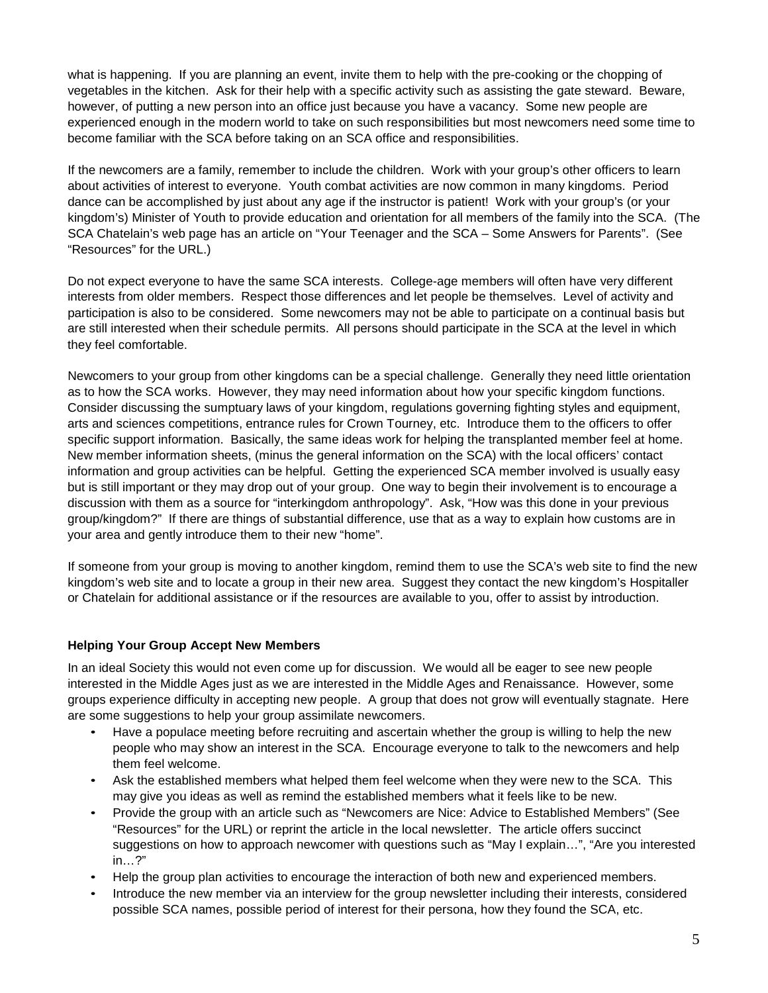what is happening. If you are planning an event, invite them to help with the pre-cooking or the chopping of vegetables in the kitchen. Ask for their help with a specific activity such as assisting the gate steward. Beware, however, of putting a new person into an office just because you have a vacancy. Some new people are experienced enough in the modern world to take on such responsibilities but most newcomers need some time to become familiar with the SCA before taking on an SCA office and responsibilities.

If the newcomers are a family, remember to include the children. Work with your group's other officers to learn about activities of interest to everyone. Youth combat activities are now common in many kingdoms. Period dance can be accomplished by just about any age if the instructor is patient! Work with your group's (or your kingdom's) Minister of Youth to provide education and orientation for all members of the family into the SCA. (The SCA Chatelain's web page has an article on "Your Teenager and the SCA – Some Answers for Parents". (See "Resources" for the URL.)

Do not expect everyone to have the same SCA interests. College-age members will often have very different interests from older members. Respect those differences and let people be themselves. Level of activity and participation is also to be considered. Some newcomers may not be able to participate on a continual basis but are still interested when their schedule permits. All persons should participate in the SCA at the level in which they feel comfortable.

Newcomers to your group from other kingdoms can be a special challenge. Generally they need little orientation as to how the SCA works. However, they may need information about how your specific kingdom functions. Consider discussing the sumptuary laws of your kingdom, regulations governing fighting styles and equipment, arts and sciences competitions, entrance rules for Crown Tourney, etc. Introduce them to the officers to offer specific support information. Basically, the same ideas work for helping the transplanted member feel at home. New member information sheets, (minus the general information on the SCA) with the local officers' contact information and group activities can be helpful. Getting the experienced SCA member involved is usually easy but is still important or they may drop out of your group. One way to begin their involvement is to encourage a discussion with them as a source for "interkingdom anthropology". Ask, "How was this done in your previous group/kingdom?" If there are things of substantial difference, use that as a way to explain how customs are in your area and gently introduce them to their new "home".

If someone from your group is moving to another kingdom, remind them to use the SCA's web site to find the new kingdom's web site and to locate a group in their new area. Suggest they contact the new kingdom's Hospitaller or Chatelain for additional assistance or if the resources are available to you, offer to assist by introduction.

# **Helping Your Group Accept New Members**

In an ideal Society this would not even come up for discussion. We would all be eager to see new people interested in the Middle Ages just as we are interested in the Middle Ages and Renaissance. However, some groups experience difficulty in accepting new people. A group that does not grow will eventually stagnate. Here are some suggestions to help your group assimilate newcomers.

- Have a populace meeting before recruiting and ascertain whether the group is willing to help the new people who may show an interest in the SCA. Encourage everyone to talk to the newcomers and help them feel welcome.
- Ask the established members what helped them feel welcome when they were new to the SCA. This may give you ideas as well as remind the established members what it feels like to be new.
- Provide the group with an article such as "Newcomers are Nice: Advice to Established Members" (See "Resources" for the URL) or reprint the article in the local newsletter. The article offers succinct suggestions on how to approach newcomer with questions such as "May I explain…", "Are you interested in…?"
- Help the group plan activities to encourage the interaction of both new and experienced members.
- Introduce the new member via an interview for the group newsletter including their interests, considered possible SCA names, possible period of interest for their persona, how they found the SCA, etc.